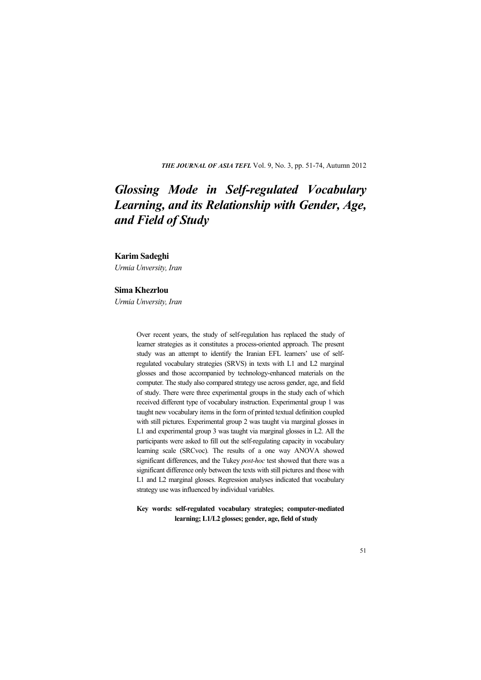*THE JOURNAL OF ASIA TEFL* Vol. 9, No. 3, pp. 51-74, Autumn 2012

# *Glossing Mode in Self-regulated Vocabulary Learning, and its Relationship with Gender, Age, and Field of Study*

## **Karim Sadeghi**

*Urmia Unversity, Iran* 

## **Sima Khezrlou**

*Urmia Unversity, Iran* 

Over recent years, the study of self-regulation has replaced the study of learner strategies as it constitutes a process-oriented approach. The present study was an attempt to identify the Iranian EFL learners' use of selfregulated vocabulary strategies (SRVS) in texts with L1 and L2 marginal glosses and those accompanied by technology-enhanced materials on the computer. The study also compared strategy use across gender, age, and field of study. There were three experimental groups in the study each of which received different type of vocabulary instruction. Experimental group 1 was taught new vocabulary items in the form of printed textual definition coupled with still pictures. Experimental group 2 was taught via marginal glosses in L1 and experimental group 3 was taught via marginal glosses in L2. All the participants were asked to fill out the self-regulating capacity in vocabulary learning scale (SRCvoc). The results of a one way ANOVA showed significant differences, and the Tukey *post-hoc* test showed that there was a significant difference only between the texts with still pictures and those with L1 and L2 marginal glosses. Regression analyses indicated that vocabulary strategy use was influenced by individual variables.

**Key words: self-regulated vocabulary strategies; computer-mediated learning; L1/L2 glosses; gender, age, field of study**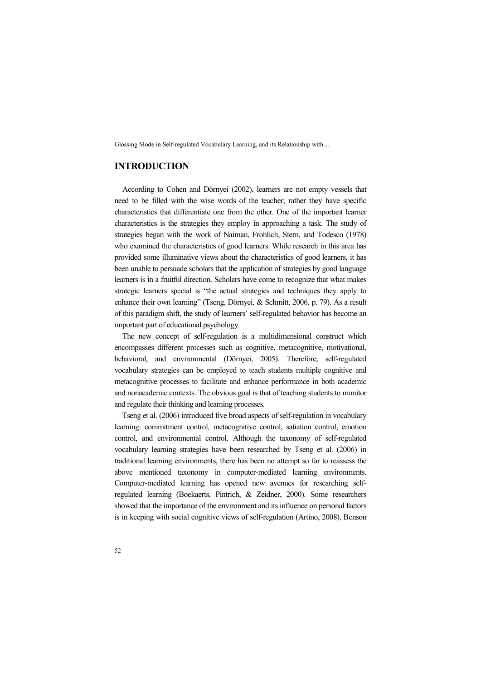# **INTRODUCTION**

According to Cohen and Dörnyei (2002), learners are not empty vessels that need to be filled with the wise words of the teacher; rather they have specific characteristics that differentiate one from the other. One of the important learner characteristics is the strategies they employ in approaching a task. The study of strategies began with the work of Naiman, Frohlich, Stern, and Todesco (1978) who examined the characteristics of good learners. While research in this area has provided some illuminative views about the characteristics of good learners, it has been unable to persuade scholars that the application of strategies by good language learners is in a fruitful direction. Scholars have come to recognize that what makes strategic learners special is "the actual strategies and techniques they apply to enhance their own learning" (Tseng, Dörnyei, & Schmitt, 2006, p. 79). As a result of this paradigm shift, the study of learners' self-regulated behavior has become an important part of educational psychology.

The new concept of self-regulation is a multidimensional construct which encompasses different processes such as cognitive, metacognitive, motivational, behavioral, and environmental (Dörnyei, 2005). Therefore, self-regulated vocabulary strategies can be employed to teach students multiple cognitive and metacognitive processes to facilitate and enhance performance in both academic and nonacademic contexts. The obvious goal is that of teaching students to monitor and regulate their thinking and learning processes.

Tseng et al. (2006) introduced five broad aspects of self-regulation in vocabulary learning: commitment control, metacognitive control, satiation control, emotion control, and environmental control. Although the taxonomy of self-regulated vocabulary learning strategies have been researched by Tseng et al. (2006) in traditional learning environments, there has been no attempt so far to reassess the above mentioned taxonomy in computer-mediated learning environments. Computer-mediated learning has opened new avenues for researching selfregulated learning (Boekaerts, Pintrich, & Zeidner, 2000). Some researchers showed that the importance of the environment and its influence on personal factors is in keeping with social cognitive views of self-regulation (Artino, 2008). Benson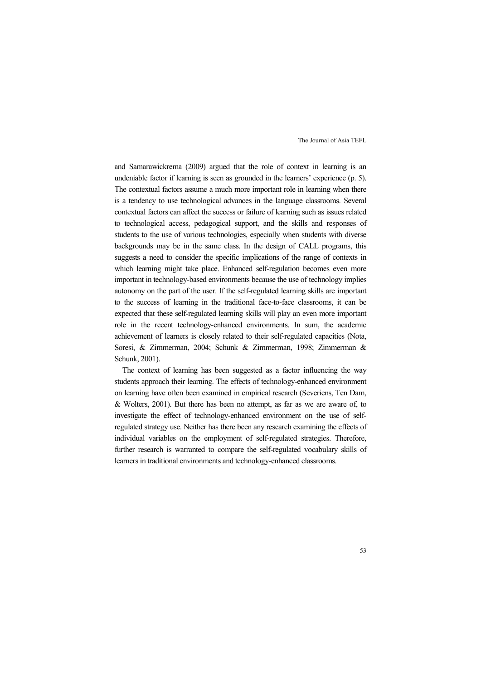and Samarawickrema (2009) argued that the role of context in learning is an undeniable factor if learning is seen as grounded in the learners' experience (p. 5). The contextual factors assume a much more important role in learning when there is a tendency to use technological advances in the language classrooms. Several contextual factors can affect the success or failure of learning such as issues related to technological access, pedagogical support, and the skills and responses of students to the use of various technologies, especially when students with diverse backgrounds may be in the same class. In the design of CALL programs, this suggests a need to consider the specific implications of the range of contexts in which learning might take place. Enhanced self-regulation becomes even more important in technology-based environments because the use of technology implies autonomy on the part of the user. If the self-regulated learning skills are important to the success of learning in the traditional face-to-face classrooms, it can be expected that these self-regulated learning skills will play an even more important role in the recent technology-enhanced environments. In sum, the academic achievement of learners is closely related to their self-regulated capacities (Nota, Soresi, & Zimmerman, 2004; Schunk & Zimmerman, 1998; Zimmerman & Schunk, 2001).

The context of learning has been suggested as a factor influencing the way students approach their learning. The effects of technology-enhanced environment on learning have often been examined in empirical research (Severiens, Ten Dam, & Wolters, 2001). But there has been no attempt, as far as we are aware of, to investigate the effect of technology-enhanced environment on the use of selfregulated strategy use. Neither has there been any research examining the effects of individual variables on the employment of self-regulated strategies. Therefore, further research is warranted to compare the self-regulated vocabulary skills of learners in traditional environments and technology-enhanced classrooms.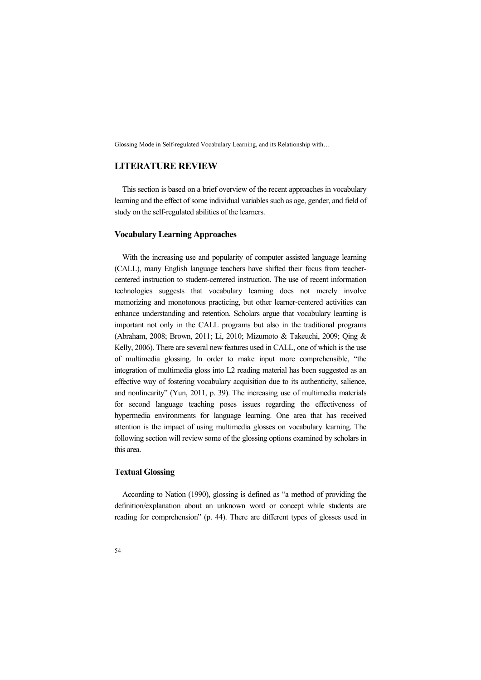# **LITERATURE REVIEW**

This section is based on a brief overview of the recent approaches in vocabulary learning and the effect of some individual variables such as age, gender, and field of study on the self-regulated abilities of the learners.

## **Vocabulary Learning Approaches**

With the increasing use and popularity of computer assisted language learning (CALL), many English language teachers have shifted their focus from teachercentered instruction to student-centered instruction. The use of recent information technologies suggests that vocabulary learning does not merely involve memorizing and monotonous practicing, but other learner-centered activities can enhance understanding and retention. Scholars argue that vocabulary learning is important not only in the CALL programs but also in the traditional programs (Abraham, 2008; Brown, 2011; Li, 2010; Mizumoto & Takeuchi, 2009; Qing & Kelly, 2006). There are several new features used in CALL, one of which is the use of multimedia glossing. In order to make input more comprehensible, "the integration of multimedia gloss into L2 reading material has been suggested as an effective way of fostering vocabulary acquisition due to its authenticity, salience, and nonlinearity" (Yun, 2011, p. 39). The increasing use of multimedia materials for second language teaching poses issues regarding the effectiveness of hypermedia environments for language learning. One area that has received attention is the impact of using multimedia glosses on vocabulary learning. The following section will review some of the glossing options examined by scholars in this area.

# **Textual Glossing**

According to Nation (1990), glossing is defined as "a method of providing the definition/explanation about an unknown word or concept while students are reading for comprehension" (p. 44). There are different types of glosses used in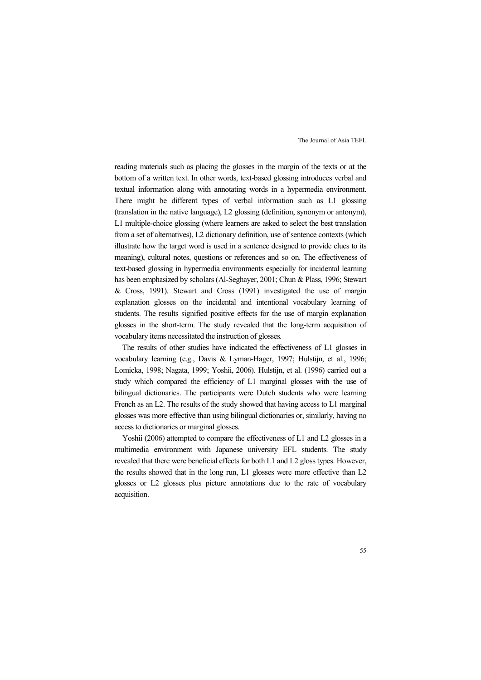reading materials such as placing the glosses in the margin of the texts or at the bottom of a written text. In other words, text-based glossing introduces verbal and textual information along with annotating words in a hypermedia environment. There might be different types of verbal information such as L1 glossing (translation in the native language), L2 glossing (definition, synonym or antonym), L1 multiple-choice glossing (where learners are asked to select the best translation from a set of alternatives), L2 dictionary definition, use of sentence contexts (which illustrate how the target word is used in a sentence designed to provide clues to its meaning), cultural notes, questions or references and so on. The effectiveness of text-based glossing in hypermedia environments especially for incidental learning has been emphasized by scholars (Al-Seghayer, 2001; Chun & Plass, 1996; Stewart & Cross, 1991). Stewart and Cross (1991) investigated the use of margin explanation glosses on the incidental and intentional vocabulary learning of students. The results signified positive effects for the use of margin explanation glosses in the short-term. The study revealed that the long-term acquisition of vocabulary items necessitated the instruction of glosses.

The results of other studies have indicated the effectiveness of L1 glosses in vocabulary learning (e.g., Davis & Lyman-Hager, 1997; Hulstijn, et al., 1996; Lomicka, 1998; Nagata, 1999; Yoshii, 2006). Hulstijn, et al. (1996) carried out a study which compared the efficiency of L1 marginal glosses with the use of bilingual dictionaries. The participants were Dutch students who were learning French as an L2. The results of the study showed that having access to L1 marginal glosses was more effective than using bilingual dictionaries or, similarly, having no access to dictionaries or marginal glosses.

Yoshii (2006) attempted to compare the effectiveness of L1 and L2 glosses in a multimedia environment with Japanese university EFL students. The study revealed that there were beneficial effects for both L1 and L2 gloss types. However, the results showed that in the long run, L1 glosses were more effective than L2 glosses or L2 glosses plus picture annotations due to the rate of vocabulary acquisition.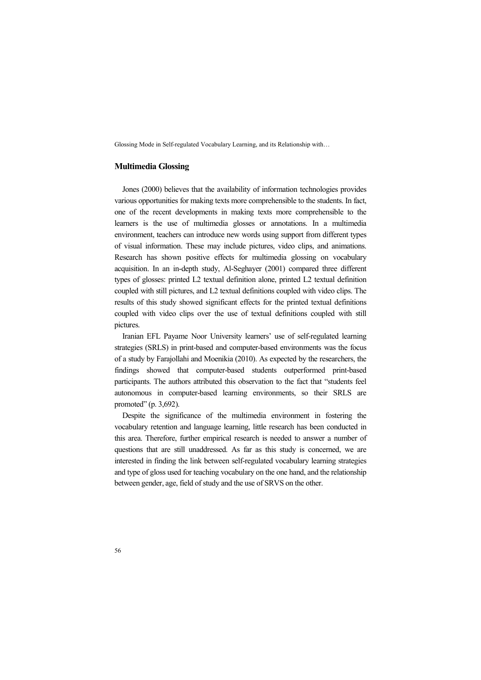#### **Multimedia Glossing**

Jones (2000) believes that the availability of information technologies provides various opportunities for making texts more comprehensible to the students. In fact, one of the recent developments in making texts more comprehensible to the learners is the use of multimedia glosses or annotations. In a multimedia environment, teachers can introduce new words using support from different types of visual information. These may include pictures, video clips, and animations. Research has shown positive effects for multimedia glossing on vocabulary acquisition. In an in-depth study, Al-Seghayer (2001) compared three different types of glosses: printed L2 textual definition alone, printed L2 textual definition coupled with still pictures, and L2 textual definitions coupled with video clips. The results of this study showed significant effects for the printed textual definitions coupled with video clips over the use of textual definitions coupled with still pictures.

Iranian EFL Payame Noor University learners' use of self-regulated learning strategies (SRLS) in print-based and computer-based environments was the focus of a study by Farajollahi and Moenikia (2010). As expected by the researchers, the findings showed that computer-based students outperformed print-based participants. The authors attributed this observation to the fact that "students feel autonomous in computer-based learning environments, so their SRLS are promoted" (p. 3,692).

Despite the significance of the multimedia environment in fostering the vocabulary retention and language learning, little research has been conducted in this area. Therefore, further empirical research is needed to answer a number of questions that are still unaddressed. As far as this study is concerned, we are interested in finding the link between self-regulated vocabulary learning strategies and type of gloss used for teaching vocabulary on the one hand, and the relationship between gender, age, field of study and the use of SRVS on the other.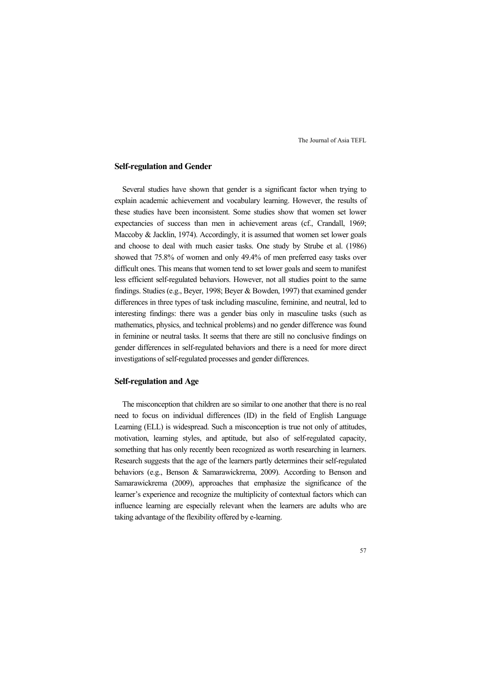## **Self-regulation and Gender**

Several studies have shown that gender is a significant factor when trying to explain academic achievement and vocabulary learning. However, the results of these studies have been inconsistent. Some studies show that women set lower expectancies of success than men in achievement areas (cf., Crandall, 1969; Maccoby & Jacklin, 1974). Accordingly, it is assumed that women set lower goals and choose to deal with much easier tasks. One study by Strube et al. (1986) showed that 75.8% of women and only 49.4% of men preferred easy tasks over difficult ones. This means that women tend to set lower goals and seem to manifest less efficient self-regulated behaviors. However, not all studies point to the same findings. Studies (e.g., Beyer, 1998; Beyer & Bowden, 1997) that examined gender differences in three types of task including masculine, feminine, and neutral, led to interesting findings: there was a gender bias only in masculine tasks (such as mathematics, physics, and technical problems) and no gender difference was found in feminine or neutral tasks. It seems that there are still no conclusive findings on gender differences in self-regulated behaviors and there is a need for more direct investigations of self-regulated processes and gender differences.

## **Self-regulation and Age**

The misconception that children are so similar to one another that there is no real need to focus on individual differences (ID) in the field of English Language Learning (ELL) is widespread. Such a misconception is true not only of attitudes, motivation, learning styles, and aptitude, but also of self-regulated capacity, something that has only recently been recognized as worth researching in learners. Research suggests that the age of the learners partly determines their self-regulated behaviors (e.g., Benson & Samarawickrema, 2009). According to Benson and Samarawickrema (2009), approaches that emphasize the significance of the learner's experience and recognize the multiplicity of contextual factors which can influence learning are especially relevant when the learners are adults who are taking advantage of the flexibility offered by e-learning.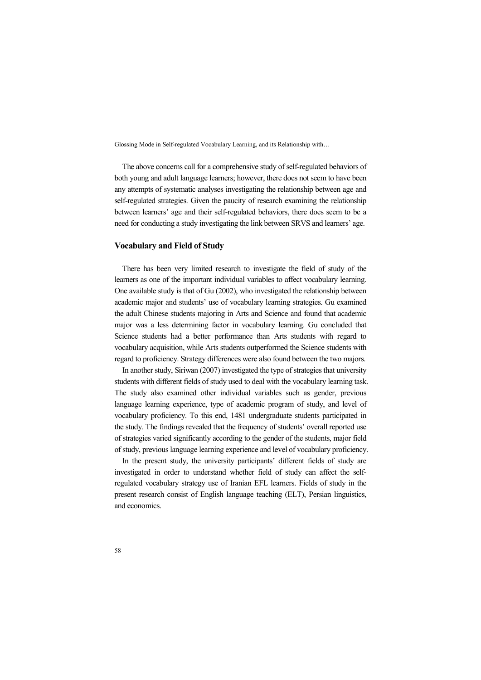The above concerns call for a comprehensive study of self-regulated behaviors of both young and adult language learners; however, there does not seem to have been any attempts of systematic analyses investigating the relationship between age and self-regulated strategies. Given the paucity of research examining the relationship between learners' age and their self-regulated behaviors, there does seem to be a need for conducting a study investigating the link between SRVS and learners' age.

## **Vocabulary and Field of Study**

There has been very limited research to investigate the field of study of the learners as one of the important individual variables to affect vocabulary learning. One available study is that of Gu (2002), who investigated the relationship between academic major and students' use of vocabulary learning strategies. Gu examined the adult Chinese students majoring in Arts and Science and found that academic major was a less determining factor in vocabulary learning. Gu concluded that Science students had a better performance than Arts students with regard to vocabulary acquisition, while Arts students outperformed the Science students with regard to proficiency. Strategy differences were also found between the two majors.

In another study, Siriwan (2007) investigated the type of strategies that university students with different fields of study used to deal with the vocabulary learning task. The study also examined other individual variables such as gender, previous language learning experience, type of academic program of study, and level of vocabulary proficiency. To this end, 1481 undergraduate students participated in the study. The findings revealed that the frequency of students' overall reported use of strategies varied significantly according to the gender of the students, major field of study, previous language learning experience and level of vocabulary proficiency.

In the present study, the university participants' different fields of study are investigated in order to understand whether field of study can affect the selfregulated vocabulary strategy use of Iranian EFL learners. Fields of study in the present research consist of English language teaching (ELT), Persian linguistics, and economics.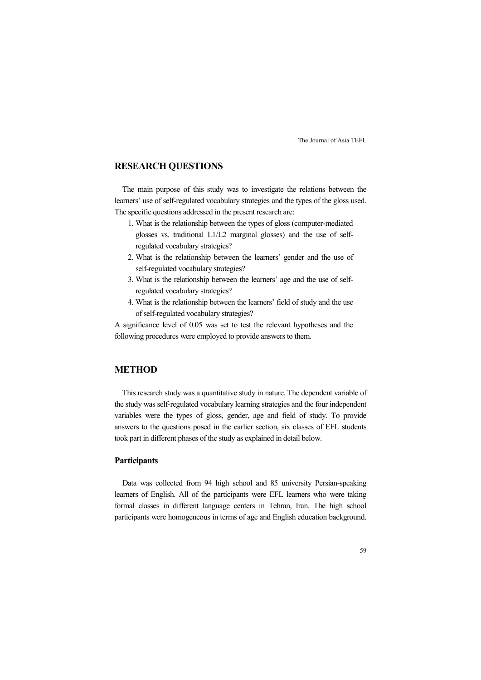# **RESEARCH QUESTIONS**

The main purpose of this study was to investigate the relations between the learners' use of self-regulated vocabulary strategies and the types of the gloss used. The specific questions addressed in the present research are:

- 1. What is the relationship between the types of gloss (computer-mediated glosses vs. traditional L1/L2 marginal glosses) and the use of selfregulated vocabulary strategies?
- 2. What is the relationship between the learners' gender and the use of self-regulated vocabulary strategies?
- 3. What is the relationship between the learners' age and the use of selfregulated vocabulary strategies?
- 4. What is the relationship between the learners' field of study and the use of self-regulated vocabulary strategies?

A significance level of 0.05 was set to test the relevant hypotheses and the following procedures were employed to provide answers to them.

# **METHOD**

This research study was a quantitative study in nature. The dependent variable of the study was self-regulated vocabulary learning strategies and the four independent variables were the types of gloss, gender, age and field of study. To provide answers to the questions posed in the earlier section, six classes of EFL students took part in different phases of the study as explained in detail below.

## **Participants**

Data was collected from 94 high school and 85 university Persian-speaking learners of English. All of the participants were EFL learners who were taking formal classes in different language centers in Tehran, Iran. The high school participants were homogeneous in terms of age and English education background.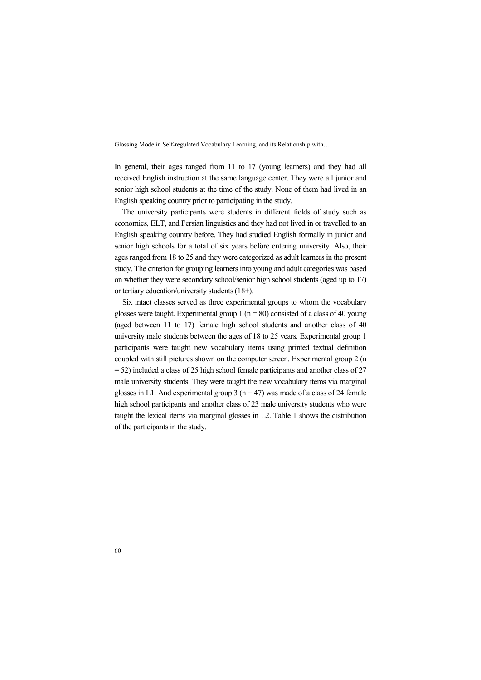In general, their ages ranged from 11 to 17 (young learners) and they had all received English instruction at the same language center. They were all junior and senior high school students at the time of the study. None of them had lived in an English speaking country prior to participating in the study.

The university participants were students in different fields of study such as economics, ELT, and Persian linguistics and they had not lived in or travelled to an English speaking country before. They had studied English formally in junior and senior high schools for a total of six years before entering university. Also, their ages ranged from 18 to 25 and they were categorized as adult learners in the present study. The criterion for grouping learners into young and adult categories was based on whether they were secondary school/senior high school students (aged up to 17) or tertiary education/university students (18+).

Six intact classes served as three experimental groups to whom the vocabulary glosses were taught. Experimental group 1 ( $n = 80$ ) consisted of a class of 40 young (aged between 11 to 17) female high school students and another class of 40 university male students between the ages of 18 to 25 years. Experimental group 1 participants were taught new vocabulary items using printed textual definition coupled with still pictures shown on the computer screen. Experimental group 2 (n = 52) included a class of 25 high school female participants and another class of 27 male university students. They were taught the new vocabulary items via marginal glosses in L1. And experimental group 3 ( $n = 47$ ) was made of a class of 24 female high school participants and another class of 23 male university students who were taught the lexical items via marginal glosses in L2. Table 1 shows the distribution of the participants in the study.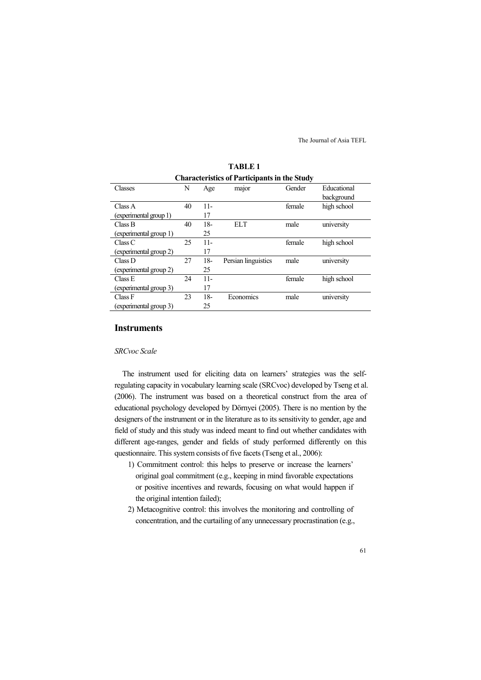| <b>Characteristics of Participants in the Study</b> |    |        |                     |        |             |
|-----------------------------------------------------|----|--------|---------------------|--------|-------------|
| Classes                                             | N  | Age    | major               | Gender | Educational |
|                                                     |    |        |                     |        | background  |
| Class A                                             | 40 | $11-$  |                     | female | high school |
| (experimental group 1)                              |    | 17     |                     |        |             |
| Class B                                             | 40 | $18-$  | <b>ELT</b>          | male   | university  |
| (experimental group 1)                              |    | 25     |                     |        |             |
| Class C                                             | 25 | $11 -$ |                     | female | high school |
| (experimental group 2)                              |    | 17     |                     |        |             |
| Class D                                             | 27 | $18-$  | Persian linguistics | male   | university  |
| (experimental group 2)                              |    | 25     |                     |        |             |
| Class E                                             | 24 | $11 -$ |                     | female | high school |
| (experimental group 3)                              |    | 17     |                     |        |             |
| Class F                                             | 23 | $18-$  | Economics           | male   | university  |
| (experimental group 3)                              |    | 25     |                     |        |             |

**TABLE 1** 

## **Instruments**

## *SRCvoc Scale*

The instrument used for eliciting data on learners' strategies was the selfregulating capacity in vocabulary learning scale (SRCvoc) developed by Tseng et al. (2006). The instrument was based on a theoretical construct from the area of educational psychology developed by Dörnyei (2005). There is no mention by the designers of the instrument or in the literature as to its sensitivity to gender, age and field of study and this study was indeed meant to find out whether candidates with different age-ranges, gender and fields of study performed differently on this questionnaire. This system consists of five facets (Tseng et al., 2006):

- 1) Commitment control: this helps to preserve or increase the learners' original goal commitment (e.g., keeping in mind favorable expectations or positive incentives and rewards, focusing on what would happen if the original intention failed);
- 2) Metacognitive control: this involves the monitoring and controlling of concentration, and the curtailing of any unnecessary procrastination (e.g.,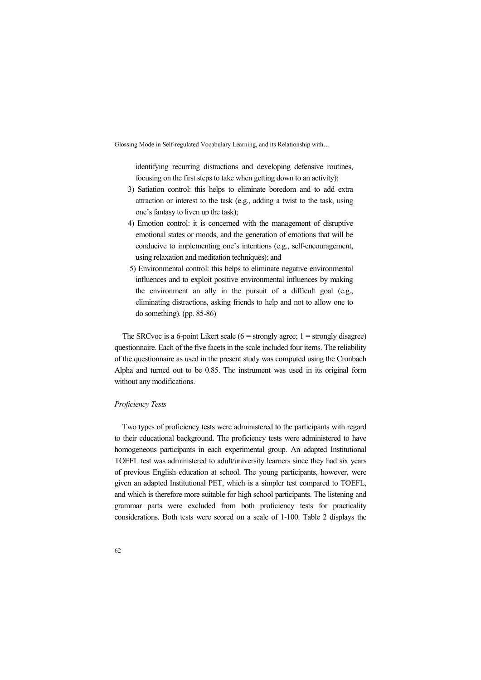identifying recurring distractions and developing defensive routines, focusing on the first steps to take when getting down to an activity);

- 3) Satiation control: this helps to eliminate boredom and to add extra attraction or interest to the task (e.g., adding a twist to the task, using one's fantasy to liven up the task);
- 4) Emotion control: it is concerned with the management of disruptive emotional states or moods, and the generation of emotions that will be conducive to implementing one's intentions (e.g., self-encouragement, using relaxation and meditation techniques); and
- 5) Environmental control: this helps to eliminate negative environmental influences and to exploit positive environmental influences by making the environment an ally in the pursuit of a difficult goal (e.g., eliminating distractions, asking friends to help and not to allow one to do something). (pp. 85-86)

The SRCvoc is a 6-point Likert scale  $(6 =$  strongly agree;  $1 =$  strongly disagree) questionnaire. Each of the five facets in the scale included four items. The reliability of the questionnaire as used in the present study was computed using the Cronbach Alpha and turned out to be 0.85. The instrument was used in its original form without any modifications.

#### *Proficiency Tests*

Two types of proficiency tests were administered to the participants with regard to their educational background. The proficiency tests were administered to have homogeneous participants in each experimental group. An adapted Institutional TOEFL test was administered to adult/university learners since they had six years of previous English education at school. The young participants, however, were given an adapted Institutional PET, which is a simpler test compared to TOEFL, and which is therefore more suitable for high school participants. The listening and grammar parts were excluded from both proficiency tests for practicality considerations. Both tests were scored on a scale of 1-100. Table 2 displays the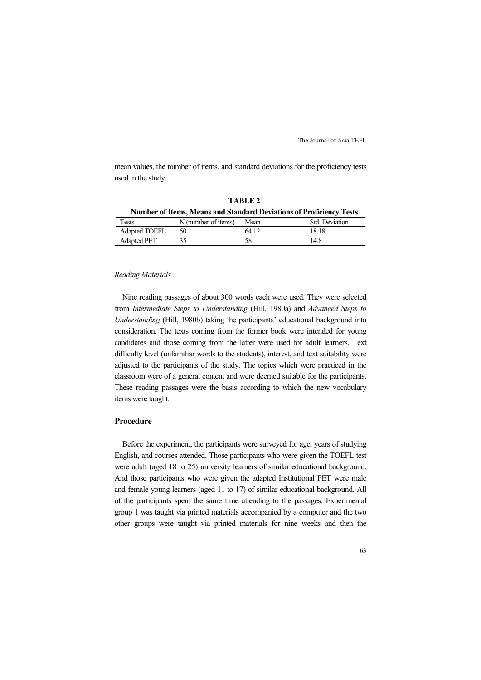mean values, the number of items, and standard deviations for the proficiency tests used in the study.

**TABLE 2** 

| <b>Number of Items, Means and Standard Deviations of Proficiency Tests</b> |                     |       |                |  |  |
|----------------------------------------------------------------------------|---------------------|-------|----------------|--|--|
| Tests                                                                      | N (number of items) | Mean  | Std. Deviation |  |  |
| <b>Adapted TOEFL</b>                                                       | 50                  | 64 12 | 18.18          |  |  |
| <b>Adapted PET</b>                                                         |                     | 58    | 148            |  |  |

#### *Reading Materials*

Nine reading passages of about 300 words each were used. They were selected from *Intermediate Steps to Understanding* (Hill, 1980a) and *Advanced Steps to Understanding* (Hill, 1980b) taking the participants' educational background into consideration. The texts coming from the former book were intended for young candidates and those coming from the latter were used for adult learners. Text difficulty level (unfamiliar words to the students), interest, and text suitability were adjusted to the participants of the study. The topics which were practiced in the classroom were of a general content and were deemed suitable for the participants. These reading passages were the basis according to which the new vocabulary items were taught.

## **Procedure**

Before the experiment, the participants were surveyed for age, years of studying English, and courses attended. Those participants who were given the TOEFL test were adult (aged 18 to 25) university learners of similar educational background. And those participants who were given the adapted Institutional PET were male and female young learners (aged 11 to 17) of similar educational background. All of the participants spent the same time attending to the passages. Experimental group 1 was taught via printed materials accompanied by a computer and the two other groups were taught via printed materials for nine weeks and then the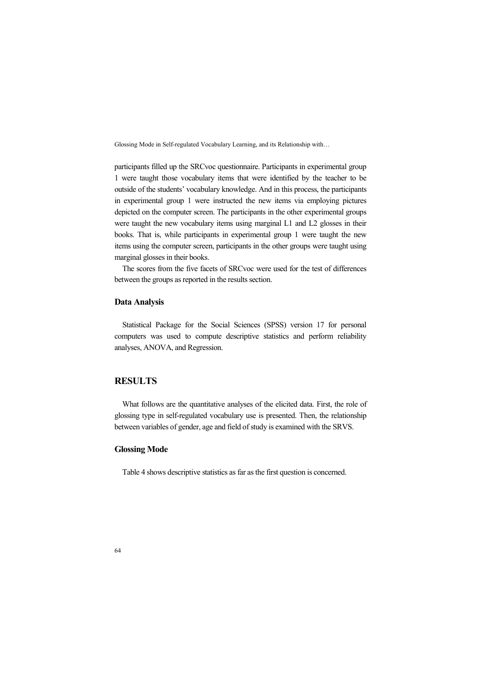participants filled up the SRCvoc questionnaire. Participants in experimental group 1 were taught those vocabulary items that were identified by the teacher to be outside of the students' vocabulary knowledge. And in this process, the participants in experimental group 1 were instructed the new items via employing pictures depicted on the computer screen. The participants in the other experimental groups were taught the new vocabulary items using marginal L1 and L2 glosses in their books. That is, while participants in experimental group 1 were taught the new items using the computer screen, participants in the other groups were taught using marginal glosses in their books.

The scores from the five facets of SRCvoc were used for the test of differences between the groups as reported in the results section.

#### **Data Analysis**

Statistical Package for the Social Sciences (SPSS) version 17 for personal computers was used to compute descriptive statistics and perform reliability analyses, ANOVA, and Regression.

# **RESULTS**

What follows are the quantitative analyses of the elicited data. First, the role of glossing type in self-regulated vocabulary use is presented. Then, the relationship between variables of gender, age and field of study is examined with the SRVS.

## **Glossing Mode**

Table 4 shows descriptive statistics as far as the first question is concerned.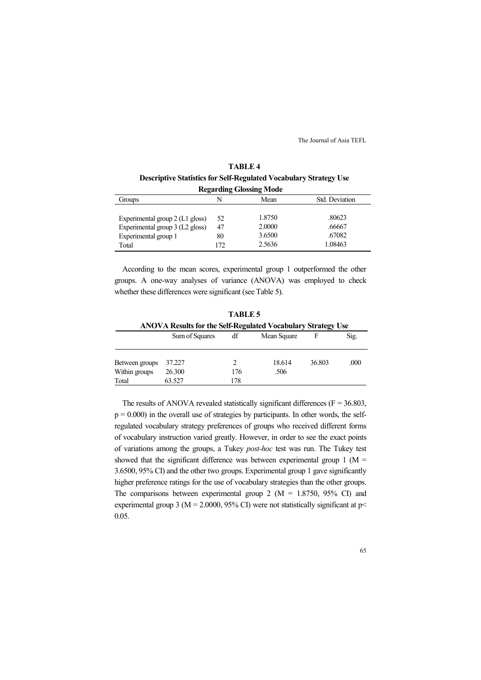| <b>TABLE 4</b>                                                           |
|--------------------------------------------------------------------------|
| <b>Descriptive Statistics for Self-Regulated Vocabulary Strategy Use</b> |
| Regarding Glossing Mode                                                  |

| Regarding Glossing Mode         |     |        |                |  |
|---------------------------------|-----|--------|----------------|--|
| Groups                          | N   | Mean   | Std. Deviation |  |
|                                 |     |        |                |  |
| Experimental group 2 (L1 gloss) | 52  | 1.8750 | .80623         |  |
| Experimental group 3 (L2 gloss) | 47  | 2.0000 | .66667         |  |
| Experimental group 1            | 80  | 3.6500 | .67082         |  |
| Total                           | 172 | 2.5636 | 1.08463        |  |

According to the mean scores, experimental group 1 outperformed the other groups. A one-way analyses of variance (ANOVA) was employed to check whether these differences were significant (see Table 5).

|                                          |                                                              | .               |                |        |      |
|------------------------------------------|--------------------------------------------------------------|-----------------|----------------|--------|------|
|                                          | ANOVA Results for the Self-Regulated Vocabulary Strategy Use |                 |                |        |      |
|                                          | Sum of Squares                                               | df              | Mean Square    | F      | Sig. |
| Between groups<br>Within groups<br>Total | 37.227<br>26.300<br>63.527                                   | 2<br>176<br>178 | 18.614<br>.506 | 36.803 | .000 |

**TABLE 5** 

The results of ANOVA revealed statistically significant differences ( $F = 36.803$ ).  $p = 0.000$ ) in the overall use of strategies by participants. In other words, the selfregulated vocabulary strategy preferences of groups who received different forms of vocabulary instruction varied greatly. However, in order to see the exact points of variations among the groups, a Tukey *post-hoc* test was run. The Tukey test showed that the significant difference was between experimental group  $1$  (M = 3.6500, 95% CI) and the other two groups. Experimental group 1 gave significantly higher preference ratings for the use of vocabulary strategies than the other groups. The comparisons between experimental group 2 ( $M = 1.8750, 95\%$  CI) and experimental group 3 ( $M = 2.0000$ , 95% CI) were not statistically significant at p 0.05.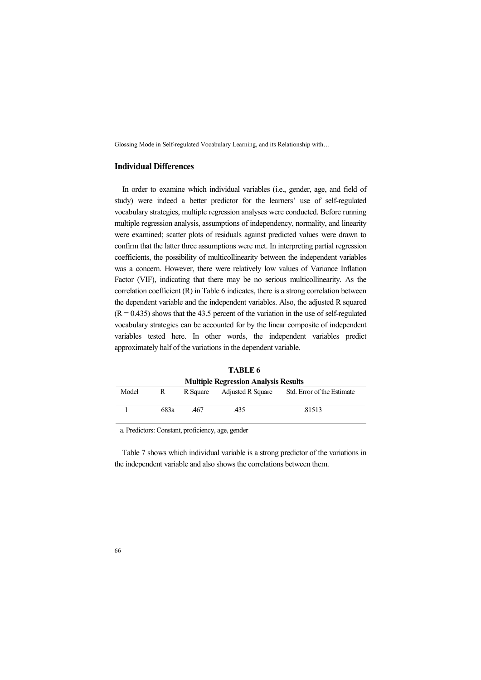# **Individual Differences**

In order to examine which individual variables (i.e., gender, age, and field of study) were indeed a better predictor for the learners' use of self-regulated vocabulary strategies, multiple regression analyses were conducted. Before running multiple regression analysis, assumptions of independency, normality, and linearity were examined; scatter plots of residuals against predicted values were drawn to confirm that the latter three assumptions were met. In interpreting partial regression coefficients, the possibility of multicollinearity between the independent variables was a concern. However, there were relatively low values of Variance Inflation Factor (VIF), indicating that there may be no serious multicollinearity. As the correlation coefficient (R) in Table 6 indicates, there is a strong correlation between the dependent variable and the independent variables. Also, the adjusted R squared  $(R = 0.435)$  shows that the 43.5 percent of the variation in the use of self-regulated vocabulary strategies can be accounted for by the linear composite of independent variables tested here. In other words, the independent variables predict approximately half of the variations in the dependent variable.

| <b>Multiple Regression Analysis Results</b> |      |          |                          |                            |  |
|---------------------------------------------|------|----------|--------------------------|----------------------------|--|
| Model                                       | R    | R Square | <b>Adjusted R Square</b> | Std. Error of the Estimate |  |
|                                             | 683a | 467      | 435                      | .81513                     |  |

**TABLE 6** 

a. Predictors: Constant, proficiency, age, gender

Table 7 shows which individual variable is a strong predictor of the variations in the independent variable and also shows the correlations between them.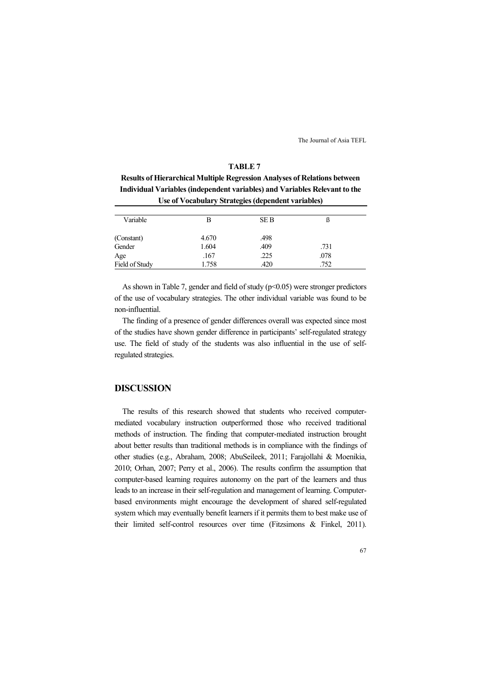#### **TABLE 7**

**Results of Hierarchical Multiple Regression Analyses of Relations between Individual Variables (independent variables) and Variables Relevant to the Use of Vocabulary Strategies (dependent variables)** 

| Variable       | в     | <b>SEB</b> |      |
|----------------|-------|------------|------|
| (Constant)     | 4.670 | .498       |      |
| Gender         | 1.604 | .409       | .731 |
| Age            | .167  | .225       | .078 |
| Field of Study | 1.758 | .420       | .752 |

As shown in Table 7, gender and field of study ( $p$  < 0.05) were stronger predictors of the use of vocabulary strategies. The other individual variable was found to be non-influential.

The finding of a presence of gender differences overall was expected since most of the studies have shown gender difference in participants' self-regulated strategy use. The field of study of the students was also influential in the use of selfregulated strategies.

# **DISCUSSION**

The results of this research showed that students who received computermediated vocabulary instruction outperformed those who received traditional methods of instruction. The finding that computer-mediated instruction brought about better results than traditional methods is in compliance with the findings of other studies (e.g., Abraham, 2008; AbuSeileek, 2011; Farajollahi & Moenikia, 2010; Orhan, 2007; Perry et al., 2006). The results confirm the assumption that computer-based learning requires autonomy on the part of the learners and thus leads to an increase in their self-regulation and management of learning. Computerbased environments might encourage the development of shared self-regulated system which may eventually benefit learners if it permits them to best make use of their limited self-control resources over time (Fitzsimons & Finkel, 2011).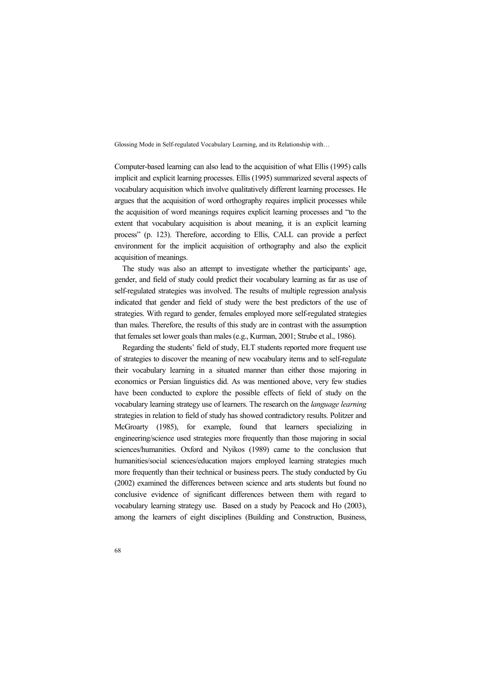Computer-based learning can also lead to the acquisition of what Ellis (1995) calls implicit and explicit learning processes. Ellis (1995) summarized several aspects of vocabulary acquisition which involve qualitatively different learning processes. He argues that the acquisition of word orthography requires implicit processes while the acquisition of word meanings requires explicit learning processes and "to the extent that vocabulary acquisition is about meaning, it is an explicit learning process" (p. 123). Therefore, according to Ellis, CALL can provide a perfect environment for the implicit acquisition of orthography and also the explicit acquisition of meanings.

The study was also an attempt to investigate whether the participants' age, gender, and field of study could predict their vocabulary learning as far as use of self-regulated strategies was involved. The results of multiple regression analysis indicated that gender and field of study were the best predictors of the use of strategies. With regard to gender, females employed more self-regulated strategies than males. Therefore, the results of this study are in contrast with the assumption that females set lower goals than males (e.g., Kurman, 2001; Strube et al., 1986).

Regarding the students' field of study, ELT students reported more frequent use of strategies to discover the meaning of new vocabulary items and to self-regulate their vocabulary learning in a situated manner than either those majoring in economics or Persian linguistics did. As was mentioned above, very few studies have been conducted to explore the possible effects of field of study on the vocabulary learning strategy use of learners. The research on the *language learning* strategies in relation to field of study has showed contradictory results. Politzer and McGroarty (1985), for example, found that learners specializing in engineering/science used strategies more frequently than those majoring in social sciences/humanities. Oxford and Nyikos (1989) came to the conclusion that humanities/social sciences/education majors employed learning strategies much more frequently than their technical or business peers. The study conducted by Gu (2002) examined the differences between science and arts students but found no conclusive evidence of significant differences between them with regard to vocabulary learning strategy use. Based on a study by Peacock and Ho (2003), among the learners of eight disciplines (Building and Construction, Business,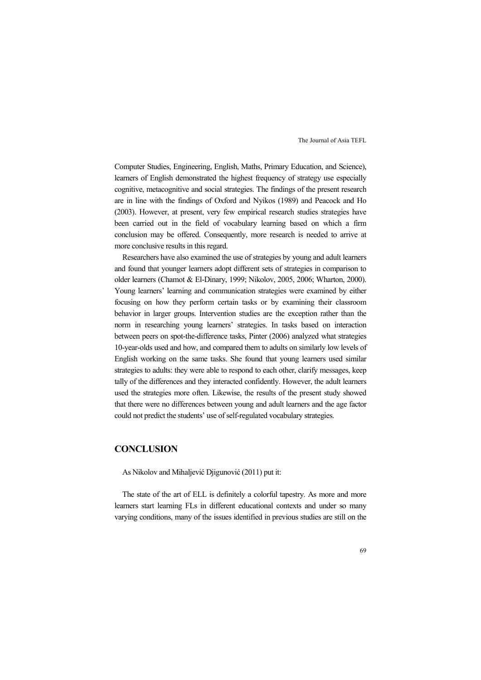Computer Studies, Engineering, English, Maths, Primary Education, and Science), learners of English demonstrated the highest frequency of strategy use especially cognitive, metacognitive and social strategies. The findings of the present research are in line with the findings of Oxford and Nyikos (1989) and Peacock and Ho (2003). However, at present, very few empirical research studies strategies have been carried out in the field of vocabulary learning based on which a firm conclusion may be offered. Consequently, more research is needed to arrive at more conclusive results in this regard.

Researchers have also examined the use of strategies by young and adult learners and found that younger learners adopt different sets of strategies in comparison to older learners (Chamot & El-Dinary, 1999; Nikolov, 2005, 2006; Wharton, 2000). Young learners' learning and communication strategies were examined by either focusing on how they perform certain tasks or by examining their classroom behavior in larger groups. Intervention studies are the exception rather than the norm in researching young learners' strategies. In tasks based on interaction between peers on spot-the-difference tasks, Pinter (2006) analyzed what strategies 10-year-olds used and how, and compared them to adults on similarly low levels of English working on the same tasks. She found that young learners used similar strategies to adults: they were able to respond to each other, clarify messages, keep tally of the differences and they interacted confidently. However, the adult learners used the strategies more often. Likewise, the results of the present study showed that there were no differences between young and adult learners and the age factor could not predict the students' use of self-regulated vocabulary strategies.

## **CONCLUSION**

As Nikolov and Mihaljević Djigunović (2011) put it:

The state of the art of ELL is definitely a colorful tapestry. As more and more learners start learning FLs in different educational contexts and under so many varying conditions, many of the issues identified in previous studies are still on the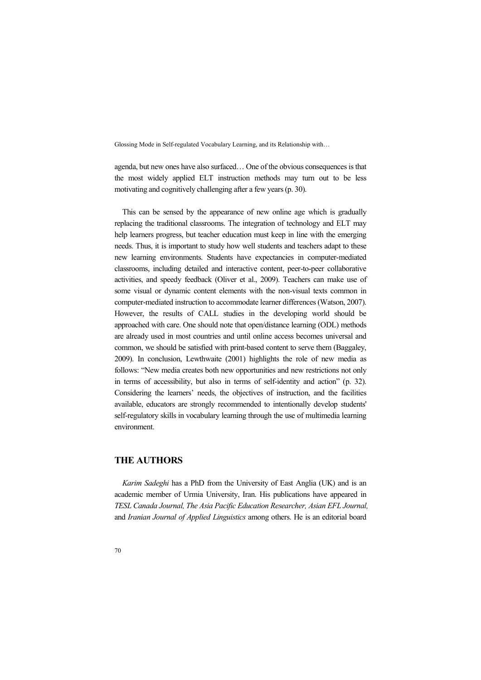agenda, but new ones have also surfaced… One of the obvious consequences is that the most widely applied ELT instruction methods may turn out to be less motivating and cognitively challenging after a few years (p. 30).

This can be sensed by the appearance of new online age which is gradually replacing the traditional classrooms. The integration of technology and ELT may help learners progress, but teacher education must keep in line with the emerging needs. Thus, it is important to study how well students and teachers adapt to these new learning environments. Students have expectancies in computer-mediated classrooms, including detailed and interactive content, peer-to-peer collaborative activities, and speedy feedback (Oliver et al., 2009). Teachers can make use of some visual or dynamic content elements with the non-visual texts common in computer-mediated instruction to accommodate learner differences (Watson, 2007). However, the results of CALL studies in the developing world should be approached with care. One should note that open/distance learning (ODL) methods are already used in most countries and until online access becomes universal and common, we should be satisfied with print-based content to serve them (Baggaley, 2009). In conclusion, Lewthwaite (2001) highlights the role of new media as follows: "New media creates both new opportunities and new restrictions not only in terms of accessibility, but also in terms of self-identity and action" (p. 32). Considering the learners' needs, the objectives of instruction, and the facilities available, educators are strongly recommended to intentionally develop students' self-regulatory skills in vocabulary learning through the use of multimedia learning environment.

## **THE AUTHORS**

*Karim Sadeghi* has a PhD from the University of East Anglia (UK) and is an academic member of Urmia University, Iran. His publications have appeared in *TESL Canada Journal, The Asia Pacific Education Researcher, Asian EFL Journal,*  and *Iranian Journal of Applied Linguistics* among others. He is an editorial board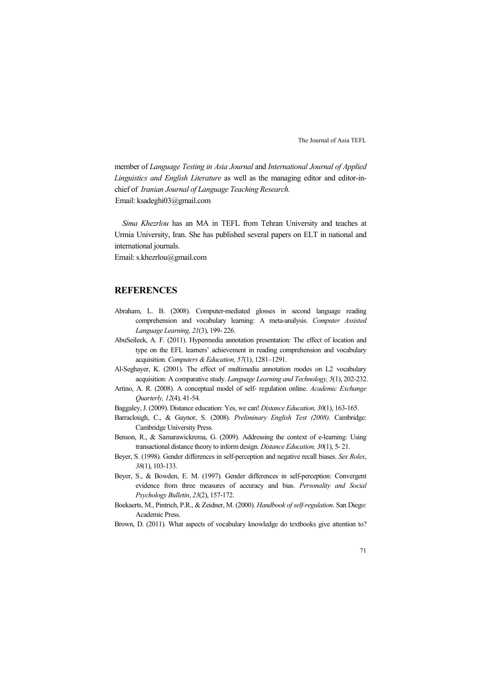member of *Language Testing in Asia Journal* and *International Journal of Applied Linguistics and English Literature* as well as the managing editor and editor-inchief of *Iranian Journal of Language Teaching Research.* Email: ksadeghi03@gmail.com

*Sima Khezrlou* has an MA in TEFL from Tehran University and teaches at Urmia University, Iran. She has published several papers on ELT in national and international journals.

Email: s.khezrlou@gmail.com

# **REFERENCES**

- Abraham, L. B. (2008). Computer-mediated glosses in second language reading comprehension and vocabulary learning: A meta-analysis. *Computer Assisted Language Learning, 21*(3), 199- 226.
- AbuSeileek, A. F. (2011). Hypermedia annotation presentation: The effect of location and type on the EFL learners' achievement in reading comprehension and vocabulary acquisition. *Computers & Education, 57*(1), 1281–1291.
- Al-Seghayer, K. (2001). The effect of multimedia annotation modes on L2 vocabulary acquisition: A comparative study. *Language Learning and Technology, 5*(1), 202-232.
- Artino, A. R. (2008). A conceptual model of self- regulation online. *Academic Exchange Quarterly, 12*(4)*,* 41-54.
- Baggaley, J. (2009). Distance education: Yes, we can! *Distance Education, 30*(1), 163-165.
- Barraclough, C., & Gaynor, S. (2008). *Preliminary English Test (2008).* Cambridge: Cambridge University Press.
- Benson, R., & Samarawickrema, G. (2009). Addressing the context of e-learning: Using transactional distance theory to inform design. *Distance Education, 30*(1), 5- 21.
- Beyer, S. (1998). Gender differences in self-perception and negative recall biases. *Sex Roles*, *38*(1), 103-133.
- Beyer, S., & Bowden, E. M. (1997). Gender differences in self-perception: Convergent evidence from three measures of accuracy and bias. *Personality and Social Psychology Bulletin*, *23*(2), 157-172.
- Boekaerts, M., Pintrich, P.R., & Zeidner, M. (2000). *Handbook of self-regulation*. San Diego: Academic Press.
- Brown, D. (2011). What aspects of vocabulary knowledge do textbooks give attention to?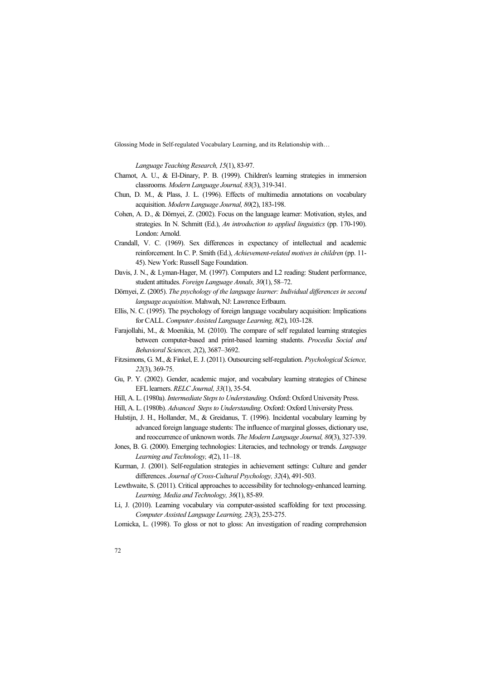*Language Teaching Research, 15*(1), 83-97.

- Chamot, A. U., & El-Dinary, P. B. (1999). Children's learning strategies in immersion classrooms*. Modern Language Journal, 83*(3), 319-341.
- Chun, D. M., & Plass, J. L. (1996). Effects of multimedia annotations on vocabulary acquisition. *Modern Language Journal, 80*(2), 183-198.
- Cohen, A. D., & Dörnyei, Z. (2002). Focus on the language learner: Motivation, styles, and strategies. In N. Schmitt (Ed.), *An introduction to applied linguistics* (pp. 170-190). London: Arnold.
- Crandall, V. C. (1969). Sex differences in expectancy of intellectual and academic reinforcement. In C. P. Smith (Ed.), *Achievement-related motives in children* (pp. 11- 45). New York: Russell Sage Foundation.
- Davis, J. N., & Lyman-Hager, M. (1997). Computers and L2 reading: Student performance, student attitudes. *Foreign Language Annals, 30*(1), 58–72.
- Dörnyei, Z. (2005). *The psychology of the language learner: Individual differences in second language acquisition*. Mahwah, NJ: Lawrence Erlbaum.
- Ellis, N. C. (1995). The psychology of foreign language vocabulary acquisition: Implications for CALL. *Computer Assisted Language Learning, 8*(2), 103-128.
- Farajollahi, M., & Moenikia, M. (2010). The compare of self regulated learning strategies between computer-based and print-based learning students. *Procedia Social and Behavioral Sciences, 2*(2), 3687–3692.
- Fitzsimons, G. M., & Finkel, E. J. (2011). Outsourcing self-regulation. *Psychological Science, 22*(3), 369-75.
- Gu, P. Y. (2002). Gender, academic major, and vocabulary learning strategies of Chinese EFL learners. *RELC Journal, 33*(1), 35-54.

Hill, A. L. (1980a). *Intermediate Steps to Understanding*. Oxford: Oxford University Press.

- Hill, A. L. (1980b). *Advanced Steps to Understanding*. Oxford: Oxford University Press.
- Hulstijn, J. H., Hollander, M., & Greidanus, T. (1996). Incidental vocabulary learning by advanced foreign language students: The influence of marginal glosses, dictionary use, and reoccurrence of unknown words. *The Modern Language Journal, 80*(3), 327-339.
- Jones, B. G. (2000). Emerging technologies: Literacies, and technology or trends. *Language Learning and Technology, 4*(2), 11–18.
- Kurman, J. (2001). Self-regulation strategies in achievement settings: Culture and gender differences. *Journal of Cross-Cultural Psychology, 32*(4), 491-503.
- Lewthwaite, S. (2011). Critical approaches to accessibility for technology-enhanced learning. *Learning, Media and Technology, 36*(1), 85-89.
- Li, J. (2010). Learning vocabulary via computer-assisted scaffolding for text processing. *Computer Assisted Language Learning, 23*(3), 253-275.
- Lomicka, L. (1998). To gloss or not to gloss: An investigation of reading comprehension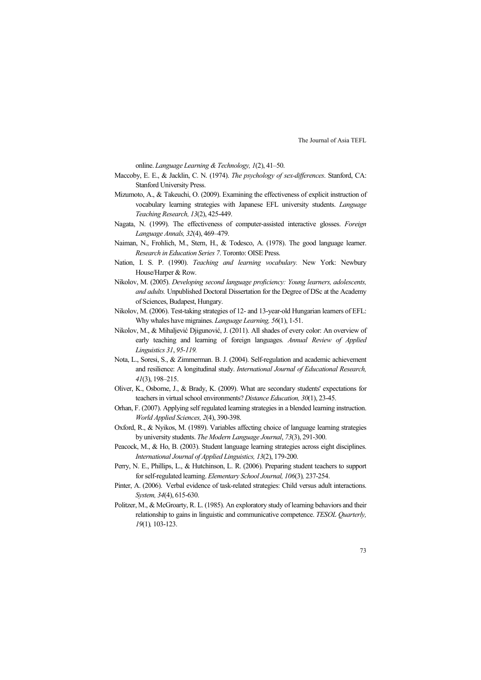online. *Language Learning & Technology, 1*(2), 41–50.

- Maccoby, E. E., & Jacklin, C. N. (1974). *The psychology of sex-differences*. Stanford, CA: Stanford University Press.
- Mizumoto, A., & Takeuchi, O. (2009). Examining the effectiveness of explicit instruction of vocabulary learning strategies with Japanese EFL university students. *Language Teaching Research, 13*(2), 425-449.
- Nagata, N. (1999). The effectiveness of computer-assisted interactive glosses. *Foreign Language Annals, 32*(4), 469–479.
- Naiman, N., Frohlich, M., Stern, H., & Todesco, A. (1978). The good language learner. *Research in Education Series 7*. Toronto: OISE Press.
- Nation, I. S. P. (1990). *Teaching and learning vocabulary.* New York: Newbury House/Harper & Row.
- Nikolov, M. (2005). *Developing second language proficiency: Young learners, adolescents, and adults.* Unpublished Doctoral Dissertation for the Degree of DSc at the Academy of Sciences, Budapest, Hungary.
- Nikolov, M. (2006). Test-taking strategies of 12- and 13-year-old Hungarian learners of EFL: Why whales have migraines. *Language Learning, 56*(1), 1-51.
- Nikolov, M., & Mihaljević Djigunović, J. (2011). All shades of every color: An overview of early teaching and learning of foreign languages. *Annual Review of Applied Linguistics 31*, *95-119.*
- Nota, L., Soresi, S., & Zimmerman. B. J. (2004). Self-regulation and academic achievement and resilience: A longitudinal study. *International Journal of Educational Research, 41*(3), 198–215.
- Oliver, K., Osborne, J., & Brady, K. (2009). What are secondary students' expectations for teachers in virtual school environments? *Distance Education, 30*(1), 23-45.
- Orhan, F. (2007). Applying self regulated learning strategies in a blended learning instruction. *World Applied Sciences, 2*(4), 390-398.
- Oxford, R., & Nyikos, M. (1989). Variables affecting choice of language learning strategies by university students. *The Modern Language Journal*, *73*(3), 291-300.
- Peacock, M., & Ho, B. (2003). Student language learning strategies across eight disciplines. *International Journal of Applied Linguistics, 13*(2), 179-200.
- Perry, N. E., Phillips, L., & Hutchinson, L. R. (2006). Preparing student teachers to support for self-regulated learning. *Elementary School Journal, 106*(3)*,* 237-254.
- Pinter, A. (2006). Verbal evidence of task-related strategies: Child versus adult interactions. *System, 34*(4), 615-630.
- Politzer, M., & McGroarty, R. L. (1985). An exploratory study of learning behaviors and their relationship to gains in linguistic and communicative competence. *TESOL Quarterly, 19*(1)*,* 103-123.